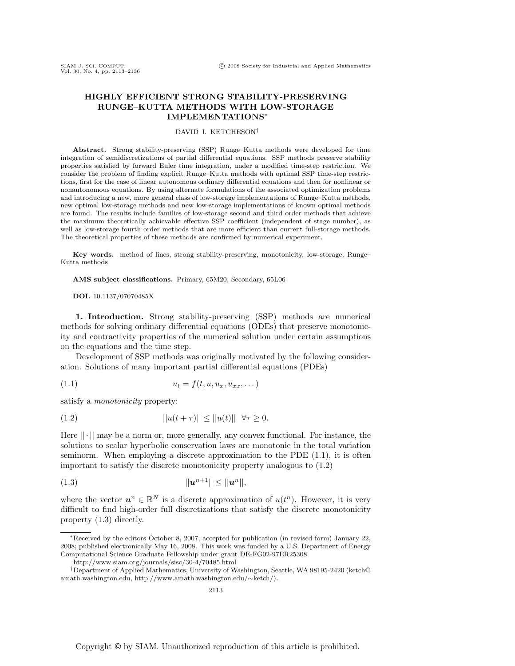# **HIGHLY EFFICIENT STRONG STABILITY-PRESERVING RUNGE–KUTTA METHODS WITH LOW-STORAGE IMPLEMENTATIONS**∗

# DAVID I. KETCHESON†

**Abstract.** Strong stability-preserving (SSP) Runge–Kutta methods were developed for time integration of semidiscretizations of partial differential equations. SSP methods preserve stability properties satisfied by forward Euler time integration, under a modified time-step restriction. We consider the problem of finding explicit Runge–Kutta methods with optimal SSP time-step restrictions, first for the case of linear autonomous ordinary differential equations and then for nonlinear or nonautonomous equations. By using alternate formulations of the associated optimization problems and introducing a new, more general class of low-storage implementations of Runge–Kutta methods, new optimal low-storage methods and new low-storage implementations of known optimal methods are found. The results include families of low-storage second and third order methods that achieve the maximum theoretically achievable effective SSP coefficient (independent of stage number), as well as low-storage fourth order methods that are more efficient than current full-storage methods. The theoretical properties of these methods are confirmed by numerical experiment.

**Key words.** method of lines, strong stability-preserving, monotonicity, low-storage, Runge– Kutta methods

**AMS subject classifications.** Primary, 65M20; Secondary, 65L06

**DOI.** 10.1137/07070485X

**1. Introduction.** Strong stability-preserving (SSP) methods are numerical methods for solving ordinary differential equations (ODEs) that preserve monotonicity and contractivity properties of the numerical solution under certain assumptions on the equations and the time step.

Development of SSP methods was originally motivated by the following consideration. Solutions of many important partial differential equations (PDEs)

$$
(1.1) \t\t u_t = f(t, u, u_x, u_{xx}, \dots)
$$

satisfy a *monotonicity* property:

$$
||u(t+\tau)|| \le ||u(t)|| \quad \forall \tau \ge 0.
$$

Here  $|| \cdot ||$  may be a norm or, more generally, any convex functional. For instance, the solutions to scalar hyperbolic conservation laws are monotonic in the total variation seminorm. When employing a discrete approximation to the PDE (1.1), it is often important to satisfy the discrete monotonicity property analogous to (1.2)

(1.3) 
$$
||u^{n+1}|| \le ||u^n||,
$$

where the vector  $u^n \in \mathbb{R}^N$  is a discrete approximation of  $u(t^n)$ . However, it is very difficult to find high-order full discretizations that satisfy the discrete monotonicity property (1.3) directly.

<sup>∗</sup>Received by the editors October 8, 2007; accepted for publication (in revised form) January 22, 2008; published electronically May 16, 2008. This work was funded by a U.S. Department of Energy Computational Science Graduate Fellowship under grant DE-FG02-97ER25308.

http://www.siam.org/journals/sisc/30-4/70485.html

<sup>†</sup>Department of Applied Mathematics, University of Washington, Seattle, WA 98195-2420 (ketch@ amath.washington.edu, http://www.amath.washington.edu/∼ketch/).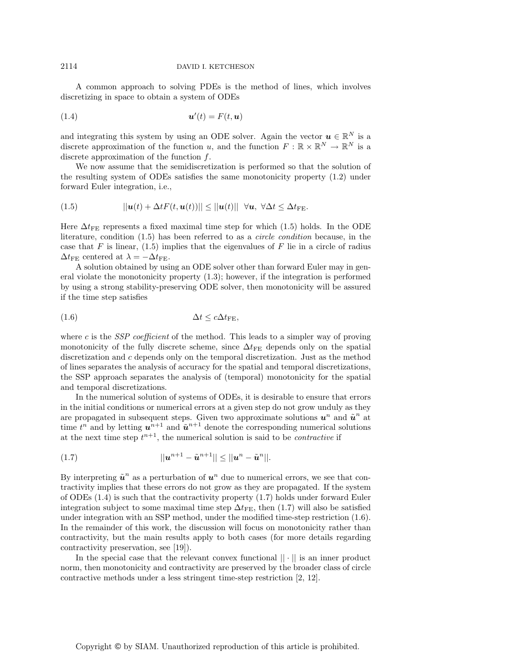A common approach to solving PDEs is the method of lines, which involves discretizing in space to obtain a system of ODEs

(1.4) *u* (t) = F(t,*u*)

and integrating this system by using an ODE solver. Again the vector  $u \in \mathbb{R}^N$  is a discrete approximation of the function u, and the function  $F : \mathbb{R} \times \mathbb{R}^N \to \mathbb{R}^N$  is a discrete approximation of the function  $f$ .

We now assume that the semidiscretization is performed so that the solution of the resulting system of ODEs satisfies the same monotonicity property (1.2) under forward Euler integration, i.e.,

(1.5) 
$$
||\mathbf{u}(t) + \Delta t F(t, \mathbf{u}(t))|| \leq ||\mathbf{u}(t)|| \quad \forall \mathbf{u}, \ \forall \Delta t \leq \Delta t_{\text{FE}}.
$$

Here  $\Delta t_{\rm FE}$  represents a fixed maximal time step for which (1.5) holds. In the ODE literature, condition (1.5) has been referred to as a *circle condition* because, in the case that F is linear,  $(1.5)$  implies that the eigenvalues of F lie in a circle of radius  $\Delta t_{\text{FE}}$  centered at  $\lambda = -\Delta t_{\text{FE}}$ .

A solution obtained by using an ODE solver other than forward Euler may in general violate the monotonicity property (1.3); however, if the integration is performed by using a strong stability-preserving ODE solver, then monotonicity will be assured if the time step satisfies

$$
(1.6) \t\t \t\t \Delta t \leq c\Delta t_{\text{FE}},
$$

where c is the  $SSP$  coefficient of the method. This leads to a simpler way of proving monotonicity of the fully discrete scheme, since  $\Delta t_{\text{FE}}$  depends only on the spatial discretization and c depends only on the temporal discretization. Just as the method of lines separates the analysis of accuracy for the spatial and temporal discretizations, the SSP approach separates the analysis of (temporal) monotonicity for the spatial and temporal discretizations.

In the numerical solution of systems of ODEs, it is desirable to ensure that errors in the initial conditions or numerical errors at a given step do not grow unduly as they are propagated in subsequent steps. Given two approximate solutions  $u^n$  and  $\tilde{u}^n$  at time  $t^n$  and by letting  $u^{n+1}$  and  $\tilde{u}^{n+1}$  denote the corresponding numerical solutions at the next time step  $t^{n+1}$ , the numerical solution is said to be *contractive* if

(1.7) 
$$
||u^{n+1} - \tilde{u}^{n+1}|| \leq ||u^n - \tilde{u}^n||.
$$

By interpreting  $\tilde{u}^n$  as a perturbation of  $u^n$  due to numerical errors, we see that contractivity implies that these errors do not grow as they are propagated. If the system of ODEs (1.4) is such that the contractivity property (1.7) holds under forward Euler integration subject to some maximal time step  $\Delta t_{\text{FE}}$ , then (1.7) will also be satisfied under integration with an SSP method, under the modified time-step restriction (1.6). In the remainder of this work, the discussion will focus on monotonicity rather than contractivity, but the main results apply to both cases (for more details regarding contractivity preservation, see [19]).

In the special case that the relevant convex functional  $|| \cdot ||$  is an inner product norm, then monotonicity and contractivity are preserved by the broader class of circle contractive methods under a less stringent time-step restriction [2, 12].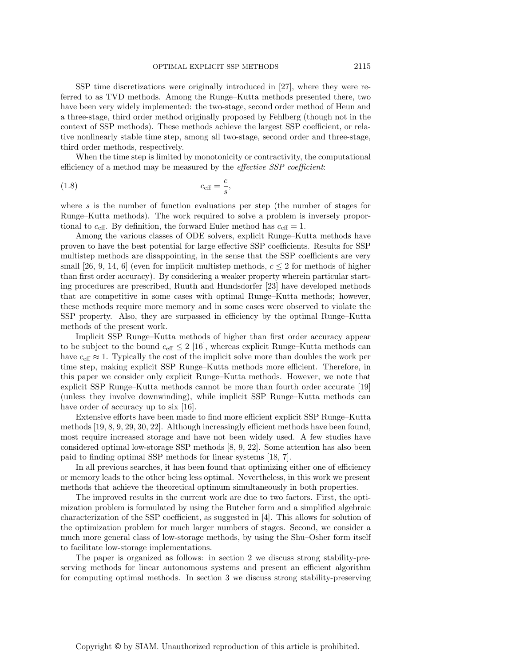SSP time discretizations were originally introduced in [27], where they were referred to as TVD methods. Among the Runge–Kutta methods presented there, two have been very widely implemented: the two-stage, second order method of Heun and a three-stage, third order method originally proposed by Fehlberg (though not in the context of SSP methods). These methods achieve the largest SSP coefficient, or relative nonlinearly stable time step, among all two-stage, second order and three-stage, third order methods, respectively.

When the time step is limited by monotonicity or contractivity, the computational efficiency of a method may be measured by the effective SSP coefficient:

$$
c_{\text{eff}} = \frac{c}{s},
$$

where s is the number of function evaluations per step (the number of stages for Runge–Kutta methods). The work required to solve a problem is inversely proportional to  $c_{\text{eff}}$ . By definition, the forward Euler method has  $c_{\text{eff}} = 1$ .

Among the various classes of ODE solvers, explicit Runge–Kutta methods have proven to have the best potential for large effective SSP coefficients. Results for SSP multistep methods are disappointing, in the sense that the SSP coefficients are very small [26, 9, 14, 6] (even for implicit multistep methods,  $c \leq 2$  for methods of higher than first order accuracy). By considering a weaker property wherein particular starting procedures are prescribed, Ruuth and Hundsdorfer [23] have developed methods that are competitive in some cases with optimal Runge–Kutta methods; however, these methods require more memory and in some cases were observed to violate the SSP property. Also, they are surpassed in efficiency by the optimal Runge–Kutta methods of the present work.

Implicit SSP Runge–Kutta methods of higher than first order accuracy appear to be subject to the bound  $c_{\text{eff}} \leq 2$  [16], whereas explicit Runge–Kutta methods can have  $c_{\text{eff}} \approx 1$ . Typically the cost of the implicit solve more than doubles the work per time step, making explicit SSP Runge–Kutta methods more efficient. Therefore, in this paper we consider only explicit Runge–Kutta methods. However, we note that explicit SSP Runge–Kutta methods cannot be more than fourth order accurate [19] (unless they involve downwinding), while implicit SSP Runge–Kutta methods can have order of accuracy up to six [16].

Extensive efforts have been made to find more efficient explicit SSP Runge–Kutta methods [19, 8, 9, 29, 30, 22]. Although increasingly efficient methods have been found, most require increased storage and have not been widely used. A few studies have considered optimal low-storage SSP methods [8, 9, 22]. Some attention has also been paid to finding optimal SSP methods for linear systems [18, 7].

In all previous searches, it has been found that optimizing either one of efficiency or memory leads to the other being less optimal. Nevertheless, in this work we present methods that achieve the theoretical optimum simultaneously in both properties.

The improved results in the current work are due to two factors. First, the optimization problem is formulated by using the Butcher form and a simplified algebraic characterization of the SSP coefficient, as suggested in [4]. This allows for solution of the optimization problem for much larger numbers of stages. Second, we consider a much more general class of low-storage methods, by using the Shu–Osher form itself to facilitate low-storage implementations.

The paper is organized as follows: in section 2 we discuss strong stability-preserving methods for linear autonomous systems and present an efficient algorithm for computing optimal methods. In section 3 we discuss strong stability-preserving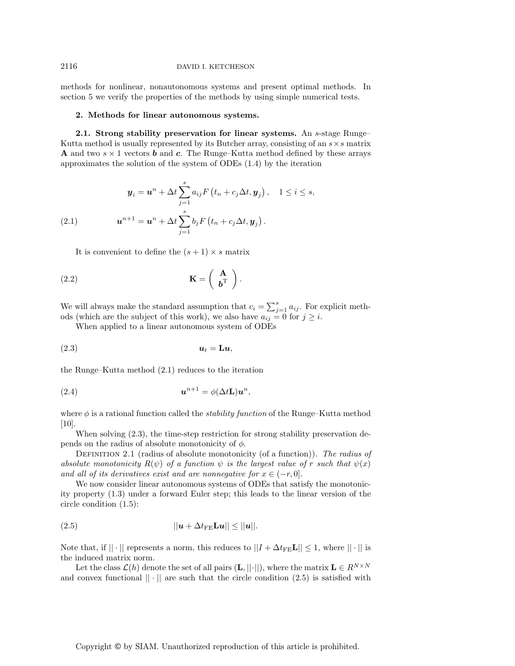### 2116 DAVID I. KETCHESON

methods for nonlinear, nonautonomous systems and present optimal methods. In section 5 we verify the properties of the methods by using simple numerical tests.

### **2. Methods for linear autonomous systems.**

**2.1. Strong stability preservation for linear systems.** An s-stage Runge– Kutta method is usually represented by its Butcher array, consisting of an  $s \times s$  matrix **A** and two  $s \times 1$  vectors *b* and *c*. The Runge–Kutta method defined by these arrays approximates the solution of the system of ODEs (1.4) by the iteration

(2.1) 
$$
\mathbf{y}_{i} = \mathbf{u}^{n} + \Delta t \sum_{j=1}^{s} a_{ij} F(t_{n} + c_{j} \Delta t, \mathbf{y}_{j}), \quad 1 \leq i \leq s,
$$

$$
\mathbf{u}^{n+1} = \mathbf{u}^{n} + \Delta t \sum_{j=1}^{s} b_{j} F(t_{n} + c_{j} \Delta t, \mathbf{y}_{j}).
$$

It is convenient to define the  $(s + 1) \times s$  matrix

(2.2) 
$$
\mathbf{K} = \left(\begin{array}{c} \mathbf{A} \\ \mathbf{b}^{\mathrm{T}} \end{array}\right).
$$

We will always make the standard assumption that  $c_i = \sum_{j=1}^s a_{ij}$ . For explicit methods (which are the subject of this work), we also have  $a_{ij} = 0$  for  $j \geq i$ .

When applied to a linear autonomous system of ODEs

(2.3) *u*<sup>t</sup> = **L***u*,

the Runge–Kutta method (2.1) reduces to the iteration

(2.4) 
$$
\mathbf{u}^{n+1} = \phi(\Delta t \mathbf{L}) \mathbf{u}^n,
$$

where  $\phi$  is a rational function called the *stability function* of the Runge–Kutta method [10].

When solving (2.3), the time-step restriction for strong stability preservation depends on the radius of absolute monotonicity of  $\phi$ .

DEFINITION 2.1 (radius of absolute monotonicity (of a function)). The radius of absolute monotonicity  $R(\psi)$  of a function  $\psi$  is the largest value of r such that  $\psi(x)$ and all of its derivatives exist and are nonnegative for  $x \in (-r, 0]$ .

We now consider linear autonomous systems of ODEs that satisfy the monotonicity property (1.3) under a forward Euler step; this leads to the linear version of the circle condition (1.5):

$$
||\mathbf{u} + \Delta t_{\text{FE}} \mathbf{L} \mathbf{u}|| \le ||\mathbf{u}||.
$$

Note that, if  $|| \cdot ||$  represents a norm, this reduces to  $||I + \Delta t_{\text{FE}} L|| \le 1$ , where  $|| \cdot ||$  is the induced matrix norm.

Let the class  $\mathcal{L}(h)$  denote the set of all pairs  $(\mathbf{L}, ||\cdot||)$ , where the matrix  $\mathbf{L} \in R^{N \times N}$ and convex functional  $\|\cdot\|$  are such that the circle condition (2.5) is satisfied with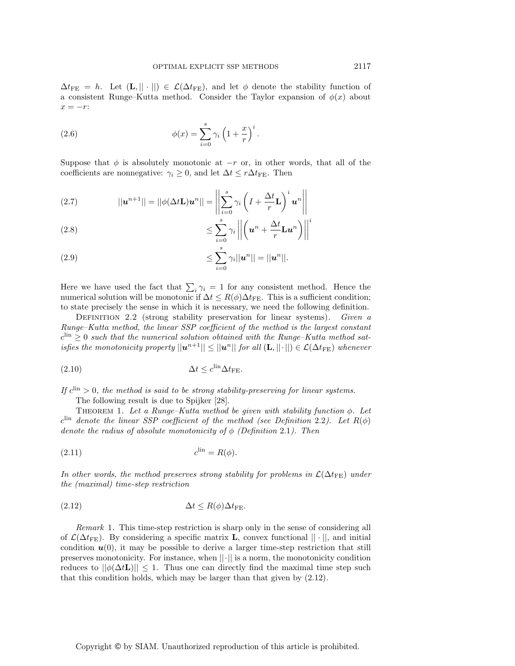$\Delta t_{\text{FE}} = h$ . Let  $(\mathbf{L}, || \cdot ||) \in \mathcal{L}(\Delta t_{\text{FE}})$ , and let  $\phi$  denote the stability function of a consistent Runge–Kutta method. Consider the Taylor expansion of  $\phi(x)$  about  $x = -r$ :

(2.6) 
$$
\phi(x) = \sum_{i=0}^{s} \gamma_i \left( 1 + \frac{x}{r} \right)^i.
$$

Suppose that  $\phi$  is absolutely monotonic at  $-r$  or, in other words, that all of the coefficients are nonnegative:  $\gamma_i \geq 0$ , and let  $\Delta t \leq r \Delta t_{\text{FE}}$ . Then

(2.7) 
$$
||\mathbf{u}^{n+1}|| = ||\phi(\Delta t \mathbf{L})\mathbf{u}^{n}|| = \left\| \sum_{i=0}^{s} \gamma_{i} \left( I + \frac{\Delta t}{r} \mathbf{L} \right)^{i} \mathbf{u}^{n} \right\|
$$

$$
\leq \sum_{i=0}^{s} \gamma_i \left| \left| \left( \boldsymbol{u}^n + \frac{\Delta t}{r} \mathbf{L} \boldsymbol{u}^n \right) \right| \right|
$$

(2.9) 
$$
\leq \sum_{i=0}^{s} \gamma_i ||u^n|| = ||u^n||.
$$

Here we have used the fact that  $\sum_i \gamma_i = 1$  for any consistent method. Hence the numerical solution will be monotonic if  $\Delta t \leq R(\phi) \Delta t_{\text{FE}}$ . This is a sufficient condition; to state precisely the sense in which it is necessary, we need the following definition.

DEFINITION 2.2 (strong stability preservation for linear systems). Given a Runge–Kutta method, the linear SSP coefficient of the method is the largest constant  $c^{\text{lin}} \geq 0$  such that the numerical solution obtained with the Runge–Kutta method satisfies the monotonicity property  $||u^{n+1}|| \le ||u^n||$  for all  $(L, ||\cdot||) \in \mathcal{L}(\Delta t_{\text{FE}})$  whenever

$$
\Delta t \leq c^{\text{lin}} \Delta t_{\text{FE}}.
$$

If  $c^{\text{lin}} > 0$ , the method is said to be strong stability-preserving for linear systems.

The following result is due to Spijker [28].

THEOREM 1. Let a Runge–Kutta method be given with stability function  $\phi$ . Let  $c^{\text{lin}}$  denote the linear SSP coefficient of the method (see Definition 2.2). Let  $R(\phi)$ denote the radius of absolute monotonicity of  $\phi$  (Definition 2.1). Then

$$
(2.11) \t\t\t clin = R(\phi).
$$

In other words, the method preserves strong stability for problems in  $\mathcal{L}(\Delta t_{\text{FE}})$  under the (maximal) time-step restriction

$$
\Delta t \le R(\phi) \Delta t_{\text{FE}}.
$$

Remark 1. This time-step restriction is sharp only in the sense of considering all of  $\mathcal{L}(\Delta t_{\text{FE}})$ . By considering a specific matrix **L**, convex functional  $|| \cdot ||$ , and initial condition  $u(0)$ , it may be possible to derive a larger time-step restriction that still preserves monotonicity. For instance, when  $||\cdot||$  is a norm, the monotonicity condition reduces to  $||\phi(\Delta t \mathbf{L})|| \leq 1$ . Thus one can directly find the maximal time step such that this condition holds, which may be larger than that given by (2.12).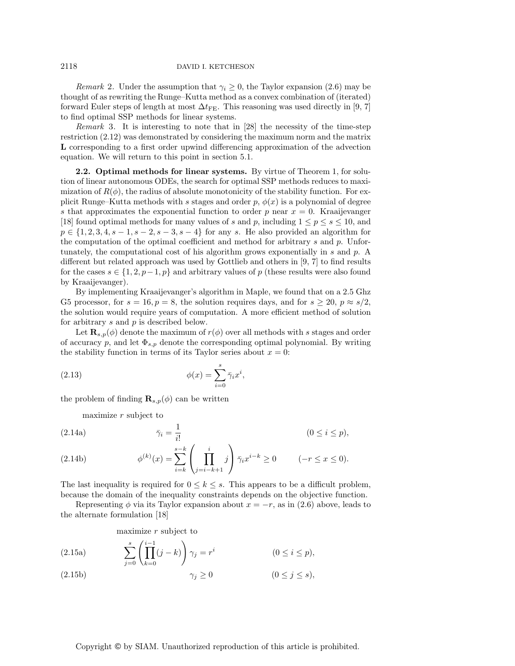Remark 2. Under the assumption that  $\gamma_i \geq 0$ , the Taylor expansion (2.6) may be thought of as rewriting the Runge–Kutta method as a convex combination of (iterated) forward Euler steps of length at most  $\Delta t_{\text{FE}}$ . This reasoning was used directly in [9, 7] to find optimal SSP methods for linear systems.

Remark 3. It is interesting to note that in [28] the necessity of the time-step restriction (2.12) was demonstrated by considering the maximum norm and the matrix **L** corresponding to a first order upwind differencing approximation of the advection equation. We will return to this point in section 5.1.

**2.2. Optimal methods for linear systems.** By virtue of Theorem 1, for solution of linear autonomous ODEs, the search for optimal SSP methods reduces to maximization of  $R(\phi)$ , the radius of absolute monotonicity of the stability function. For explicit Runge–Kutta methods with s stages and order  $p, \phi(x)$  is a polynomial of degree s that approximates the exponential function to order p near  $x = 0$ . Kraaijevanger [18] found optimal methods for many values of s and p, including  $1 \le p \le s \le 10$ , and  $p \in \{1, 2, 3, 4, s-1, s-2, s-3, s-4\}$  for any s. He also provided an algorithm for the computation of the optimal coefficient and method for arbitrary s and p. Unfortunately, the computational cost of his algorithm grows exponentially in s and p. A different but related approach was used by Gottlieb and others in [9, 7] to find results for the cases  $s \in \{1, 2, p-1, p\}$  and arbitrary values of p (these results were also found by Kraaijevanger).

By implementing Kraaijevanger's algorithm in Maple, we found that on a 2.5 Ghz G5 processor, for  $s = 16, p = 8$ , the solution requires days, and for  $s \ge 20$ ,  $p \approx s/2$ , the solution would require years of computation. A more efficient method of solution for arbitrary s and p is described below.

Let  $\mathbf{R}_{s,p}(\phi)$  denote the maximum of  $r(\phi)$  over all methods with s stages and order of accuracy p, and let  $\Phi_{s,p}$  denote the corresponding optimal polynomial. By writing the stability function in terms of its Taylor series about  $x = 0$ :

(2.13) 
$$
\phi(x) = \sum_{i=0}^{s} \bar{\gamma}_i x^i,
$$

the problem of finding  $\mathbf{R}_{s,p}(\phi)$  can be written

maximize  $r$  subject to

(2.14a) 
$$
\bar{\gamma}_i = \frac{1}{i!} \qquad (0 \le i \le p),
$$

$$
s-k \qquad i \qquad \qquad (0 \le i \le p),
$$

(2.14b) 
$$
\phi^{(k)}(x) = \sum_{i=k}^{s-k} \left( \prod_{j=i-k+1}^{i} j \right) \bar{\gamma}_i x^{i-k} \ge 0 \qquad (-r \le x \le 0).
$$

The last inequality is required for  $0 \leq k \leq s$ . This appears to be a difficult problem, because the domain of the inequality constraints depends on the objective function.

Representing  $\phi$  via its Taylor expansion about  $x = -r$ , as in (2.6) above, leads to the alternate formulation [18]

maximize  $r$  subject to

(2.15a)  
\n
$$
\sum_{j=0}^{s} \left( \prod_{k=0}^{i-1} (j-k) \right) \gamma_j = r^i \qquad (0 \le i \le p),
$$
\n
$$
\gamma_j \ge 0 \qquad (0 \le j \le s),
$$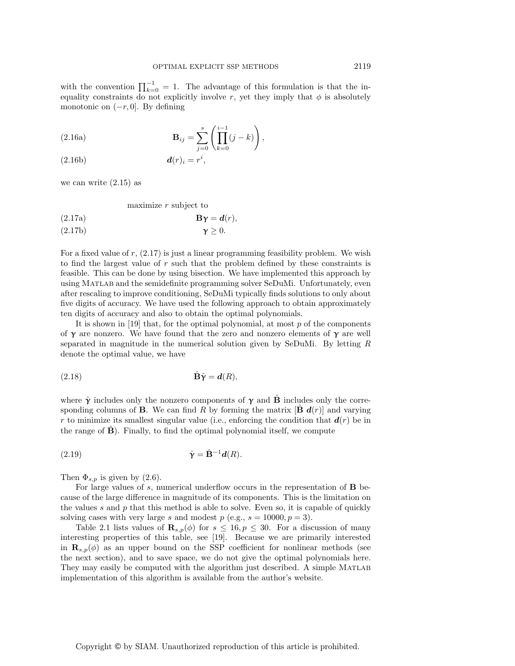with the convention  $\prod_{k=0}^{-1} = 1$ . The advantage of this formulation is that the inequality constraints do not explicitly involve r, yet they imply that  $\phi$  is absolutely monotonic on  $(-r, 0]$ . By defining

(2.16a) 
$$
\mathbf{B}_{ij} = \sum_{j=0}^{s} \left( \prod_{k=0}^{i-1} (j-k) \right),
$$

$$
(2.16b) \t\t d(r)_i = r^i,
$$

we can write  $(2.15)$  as

maximize r subject to

(2.17a)  
\n
$$
\mathbf{B}\gamma = \mathbf{d}(r),
$$
\n
$$
\gamma \ge 0.
$$

For a fixed value of  $r$ ,  $(2.17)$  is just a linear programming feasibility problem. We wish to find the largest value of  $r$  such that the problem defined by these constraints is feasible. This can be done by using bisection. We have implemented this approach by using Matlab and the semidefinite programming solver SeDuMi. Unfortunately, even after rescaling to improve conditioning, SeDuMi typically finds solutions to only about five digits of accuracy. We have used the following approach to obtain approximately ten digits of accuracy and also to obtain the optimal polynomials.

It is shown in [19] that, for the optimal polynomial, at most  $p$  of the components of  $\gamma$  are nonzero. We have found that the zero and nonzero elements of  $\gamma$  are well separated in magnitude in the numerical solution given by SeDuMi. By letting R denote the optimal value, we have

$$
(2.18) \quad \hat{\mathbf{B}}\hat{\mathbf{\gamma}} = \mathbf{d}(R),
$$

where  $\hat{\gamma}$  includes only the nonzero components of  $\gamma$  and **B** includes only the corresponding columns of **B**. We can find R by forming the matrix  $[\mathbf{B} \mathbf{d}(r)]$  and varying r to minimize its smallest singular value (i.e., enforcing the condition that  $d(r)$  be in the range of  $\hat{\mathbf{B}}$ ). Finally, to find the optimal polynomial itself, we compute

$$
\hat{\mathbf{\gamma}} = \hat{\mathbf{B}}^{-1} \mathbf{d}(R).
$$

Then  $\Phi_{s,p}$  is given by (2.6).

For large values of s, numerical underflow occurs in the representation of **B** because of the large difference in magnitude of its components. This is the limitation on the values  $s$  and  $p$  that this method is able to solve. Even so, it is capable of quickly solving cases with very large s and modest  $p$  (e.g.,  $s = 10000, p = 3$ ).

Table 2.1 lists values of  $\mathbf{R}_{s,p}(\phi)$  for  $s \leq 16, p \leq 30$ . For a discussion of many interesting properties of this table, see [19]. Because we are primarily interested in  $\mathbf{R}_{s,p}(\phi)$  as an upper bound on the SSP coefficient for nonlinear methods (see the next section), and to save space, we do not give the optimal polynomials here. They may easily be computed with the algorithm just described. A simple MATLAB implementation of this algorithm is available from the author's website.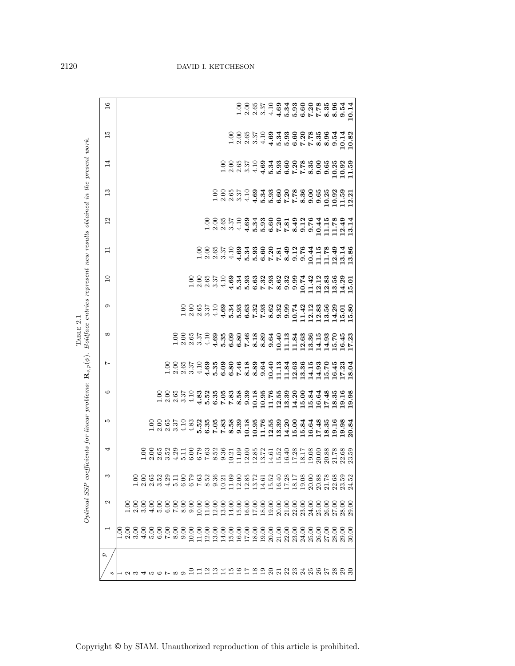| $\overline{16}$ |  |  |  |  |  |  |  |  |  |  |  |  |  |  |                                                                                                                                                                                                                                 |
|-----------------|--|--|--|--|--|--|--|--|--|--|--|--|--|--|---------------------------------------------------------------------------------------------------------------------------------------------------------------------------------------------------------------------------------|
|                 |  |  |  |  |  |  |  |  |  |  |  |  |  |  |                                                                                                                                                                                                                                 |
| $\frac{5}{10}$  |  |  |  |  |  |  |  |  |  |  |  |  |  |  |                                                                                                                                                                                                                                 |
| $\overline{14}$ |  |  |  |  |  |  |  |  |  |  |  |  |  |  |                                                                                                                                                                                                                                 |
| $\mathbb{C}$    |  |  |  |  |  |  |  |  |  |  |  |  |  |  |                                                                                                                                                                                                                                 |
| $\overline{c}$  |  |  |  |  |  |  |  |  |  |  |  |  |  |  |                                                                                                                                                                                                                                 |
| Ξ               |  |  |  |  |  |  |  |  |  |  |  |  |  |  |                                                                                                                                                                                                                                 |
| $\overline{10}$ |  |  |  |  |  |  |  |  |  |  |  |  |  |  |                                                                                                                                                                                                                                 |
| $\circ$         |  |  |  |  |  |  |  |  |  |  |  |  |  |  | contration de des des des de la des de des de des de des de des de la desde de la des de la des de de la de de<br>Contration de la desde de la desde de la desde de la desde de la desde de la de la de la de la de la de la de |
| $\infty$        |  |  |  |  |  |  |  |  |  |  |  |  |  |  |                                                                                                                                                                                                                                 |
| $\overline{ }$  |  |  |  |  |  |  |  |  |  |  |  |  |  |  |                                                                                                                                                                                                                                 |
| $\circ$         |  |  |  |  |  |  |  |  |  |  |  |  |  |  |                                                                                                                                                                                                                                 |
| S               |  |  |  |  |  |  |  |  |  |  |  |  |  |  |                                                                                                                                                                                                                                 |
| ₹               |  |  |  |  |  |  |  |  |  |  |  |  |  |  |                                                                                                                                                                                                                                 |
| ਼               |  |  |  |  |  |  |  |  |  |  |  |  |  |  |                                                                                                                                                                                                                                 |
| $\sim$          |  |  |  |  |  |  |  |  |  |  |  |  |  |  |                                                                                                                                                                                                                                 |
|                 |  |  |  |  |  |  |  |  |  |  |  |  |  |  | 30.00                                                                                                                                                                                                                           |
| 2               |  |  |  |  |  |  |  |  |  |  |  |  |  |  |                                                                                                                                                                                                                                 |

TABLE 2.1<br>Boldface entries represent new results obtained in the present work. Optimal SSP coefficients for linear problems: **R**s,p(φ). Boldface entries represent new results obtained in the present work. Table 2.1  $(d)$ .  $Optimal$  SSP coefficients for linear problems:  $\mathbf{R}_s$ 

Copyright © by SIAM. Unauthorized reproduction of this article is prohibited.

# 2120 DAVID I. KETCHESON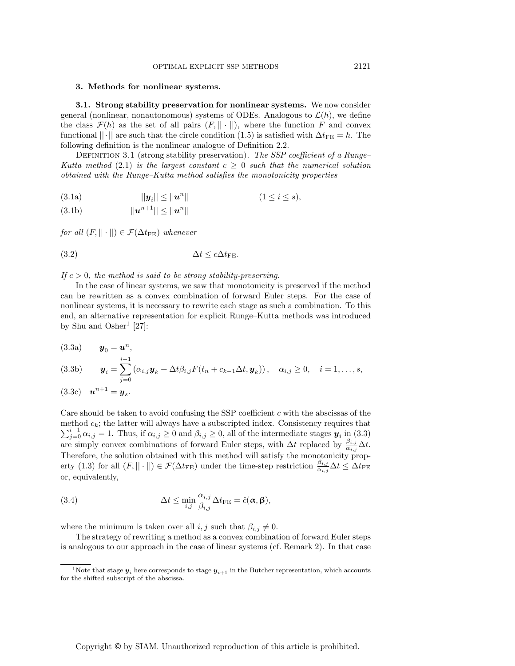### **3. Methods for nonlinear systems.**

**3.1. Strong stability preservation for nonlinear systems.** We now consider general (nonlinear, nonautonomous) systems of ODEs. Analogous to  $\mathcal{L}(h)$ , we define the class  $\mathcal{F}(h)$  as the set of all pairs  $(F, || \cdot ||)$ , where the function F and convex functional  $||\cdot||$  are such that the circle condition (1.5) is satisfied with  $\Delta t_{\text{FE}} = h$ . The following definition is the nonlinear analogue of Definition 2.2.

DEFINITION 3.1 (strong stability preservation). The SSP coefficient of a Runge– Kutta method (2.1) is the largest constant  $c \geq 0$  such that the numerical solution obtained with the Runge–Kutta method satisfies the monotonicity properties

$$
||\mathbf{y}_i|| \le ||\mathbf{u}^n|| \qquad (1 \le i \le s),
$$

$$
(3.1b) \t ||un+1|| \le ||un||
$$

for all  $(F, || \cdot ||) \in \mathcal{F}(\Delta t_{\text{FE}})$  whenever

$$
\Delta t \leq c \Delta t_{\text{FE}}.
$$

If  $c > 0$ , the method is said to be strong stability-preserving.

In the case of linear systems, we saw that monotonicity is preserved if the method can be rewritten as a convex combination of forward Euler steps. For the case of nonlinear systems, it is necessary to rewrite each stage as such a combination. To this end, an alternative representation for explicit Runge–Kutta methods was introduced by Shu and Osher<sup>1</sup> [27]:

$$
(3.3a) \t\t y_0 = u^n,
$$

$$
\begin{array}{ccc}\n(i-1) & & & i-1 \\
(i-2) & & & \n\end{array}
$$

$$
(3.3b) \t\t \t\t \t\t \t\t \t\t \t\t \t\t \t\t y_i = \sum_{j=0} (\alpha_{i,j} \t\t \t\t\t \t\t y_k + \Delta t \beta_{i,j} F(t_n + c_{k-1} \Delta t, \t\t\t \t\t\t \t\t\t y_k)), \t\t \alpha_{i,j} \geq 0, \t\t i = 1, \ldots, s,
$$

$$
(3.3c) \quad \mathbf{u}^{n+1} = \mathbf{y}_s.
$$

Care should be taken to avoid confusing the SSP coefficient  $c$  with the abscissas of the method  $c_k$ ; the latter will always have a subscripted index. Consistency requires that  $\sum_{j=0}^{i-1} \alpha_{i,j} = 1$ . Thus, if  $\alpha_{i,j} \ge 0$  and  $\beta_{i,j} \ge 0$ , all of the intermediate stages  $y_i$  in (3.3) are simply convex combinations of forward Euler steps, with  $\Delta t$  replaced by  $\frac{\beta_{i,j}}{\alpha_{i,j}}\Delta t$ . Therefore, the solution obtained with this method will satisfy the monotonicity property (1.3) for all  $(F, || \cdot ||) \in \mathcal{F}(\Delta t_{FE})$  under the time-step restriction  $\frac{\beta_{i,j}}{\alpha_{i,j}} \Delta t \leq \Delta t_{FE}$ or, equivalently,

(3.4) 
$$
\Delta t \leq \min_{i,j} \frac{\alpha_{i,j}}{\beta_{i,j}} \Delta t_{\text{FE}} = \hat{c}(\boldsymbol{\alpha}, \boldsymbol{\beta}),
$$

where the minimum is taken over all  $i, j$  such that  $\beta_{i,j} \neq 0$ .

The strategy of rewriting a method as a convex combination of forward Euler steps is analogous to our approach in the case of linear systems (cf. Remark 2). In that case

<sup>&</sup>lt;sup>1</sup>Note that stage  $y_i$  here corresponds to stage  $y_{i+1}$  in the Butcher representation, which accounts for the shifted subscript of the abscissa.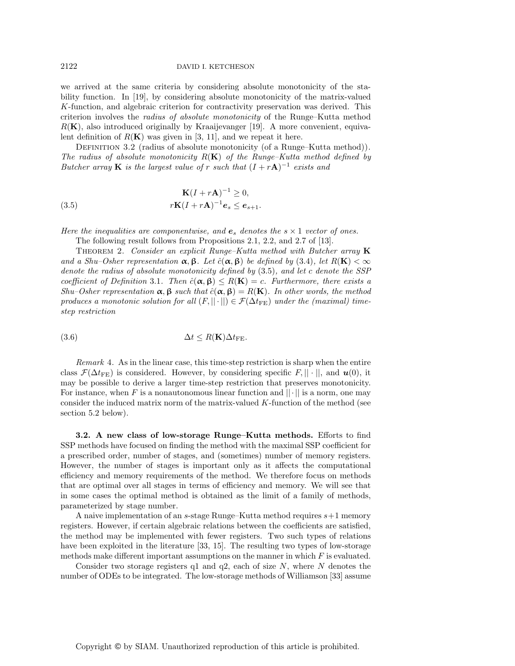### 2122 DAVID I. KETCHESON

we arrived at the same criteria by considering absolute monotonicity of the stability function. In [19], by considering absolute monotonicity of the matrix-valued K-function, and algebraic criterion for contractivity preservation was derived. This criterion involves the radius of absolute monotonicity of the Runge–Kutta method  $R(K)$ , also introduced originally by Kraaijevanger [19]. A more convenient, equivalent definition of  $R(K)$  was given in [3, 11], and we repeat it here.

DEFINITION 3.2 (radius of absolute monotonicity (of a Runge–Kutta method)). The radius of absolute monotonicity  $R(K)$  of the Runge–Kutta method defined by Butcher array **K** is the largest value of r such that  $(I + rA)^{-1}$  exists and

(3.5) 
$$
\mathbf{K}(I+r\mathbf{A})^{-1} \geq 0,
$$

$$
r\mathbf{K}(I+r\mathbf{A})^{-1}\mathbf{e}_s \leq \mathbf{e}_{s+1}.
$$

Here the inequalities are componentwise, and  $e_s$  denotes the  $s \times 1$  vector of ones.

The following result follows from Propositions 2.1, 2.2, and 2.7 of [13].

Theorem 2. Consider an explicit Runge–Kutta method with Butcher array **K** and a Shu–Osher representation  $\alpha$ ,  $\beta$ . Let  $\hat{c}(\alpha, \beta)$  be defined by (3.4), let  $R(K) < \infty$ denote the radius of absolute monotonicity defined by (3.5), and let c denote the SSP coefficient of Definition 3.1. Then  $\hat{c}(\alpha, \beta) \leq R(\mathbf{K}) = c$ . Furthermore, there exists a Shu–Osher representation  $\alpha$ ,  $\beta$  such that  $\hat{c}(\alpha, \beta) = R(K)$ . In other words, the method produces a monotonic solution for all  $(F, ||\cdot||) \in \mathcal{F}(\Delta t_{\text{FE}})$  under the (maximal) timestep restriction

$$
(3.6) \t\t \Delta t \le R(\mathbf{K})\Delta t_{\text{FE}}.
$$

Remark 4. As in the linear case, this time-step restriction is sharp when the entire class  $\mathcal{F}(\Delta t_{\text{FE}})$  is considered. However, by considering specific F,  $|| \cdot ||$ , and  $\mathbf{u}(0)$ , it may be possible to derive a larger time-step restriction that preserves monotonicity. For instance, when F is a nonautonomous linear function and  $||\cdot||$  is a norm, one may consider the induced matrix norm of the matrix-valued  $K$ -function of the method (see section 5.2 below).

**3.2. A new class of low-storage Runge–Kutta methods.** Efforts to find SSP methods have focused on finding the method with the maximal SSP coefficient for a prescribed order, number of stages, and (sometimes) number of memory registers. However, the number of stages is important only as it affects the computational efficiency and memory requirements of the method. We therefore focus on methods that are optimal over all stages in terms of efficiency and memory. We will see that in some cases the optimal method is obtained as the limit of a family of methods, parameterized by stage number.

A naive implementation of an s-stage Runge–Kutta method requires  $s+1$  memory registers. However, if certain algebraic relations between the coefficients are satisfied, the method may be implemented with fewer registers. Two such types of relations have been exploited in the literature [33, 15]. The resulting two types of low-storage methods make different important assumptions on the manner in which  $F$  is evaluated.

Consider two storage registers  $q1$  and  $q2$ , each of size N, where N denotes the number of ODEs to be integrated. The low-storage methods of Williamson [33] assume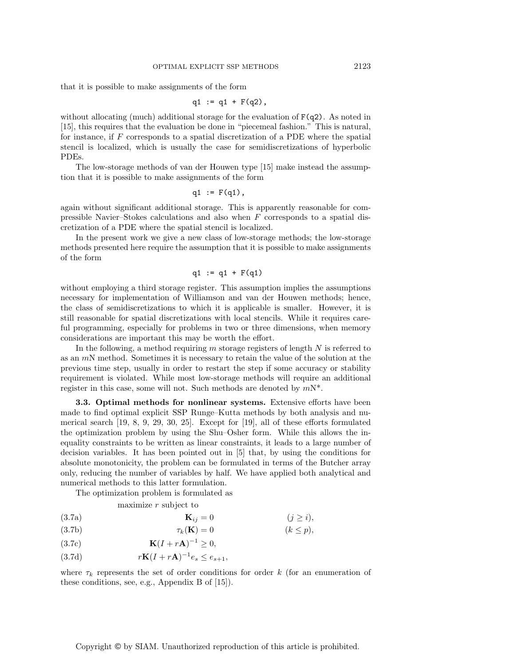that it is possible to make assignments of the form

$$
q1 := q1 + F(q2)
$$
,

without allocating (much) additional storage for the evaluation of  $F(q2)$ . As noted in [15], this requires that the evaluation be done in "piecemeal fashion." This is natural, for instance, if  $F$  corresponds to a spatial discretization of a PDE where the spatial stencil is localized, which is usually the case for semidiscretizations of hyperbolic PDEs.

The low-storage methods of van der Houwen type [15] make instead the assumption that it is possible to make assignments of the form

$$
q1 := F(q1),
$$

again without significant additional storage. This is apparently reasonable for compressible Navier–Stokes calculations and also when  $F$  corresponds to a spatial discretization of a PDE where the spatial stencil is localized.

In the present work we give a new class of low-storage methods; the low-storage methods presented here require the assumption that it is possible to make assignments of the form

$$
q1 := q1 + F(q1)
$$

without employing a third storage register. This assumption implies the assumptions necessary for implementation of Williamson and van der Houwen methods; hence, the class of semidiscretizations to which it is applicable is smaller. However, it is still reasonable for spatial discretizations with local stencils. While it requires careful programming, especially for problems in two or three dimensions, when memory considerations are important this may be worth the effort.

In the following, a method requiring m storage registers of length  $N$  is referred to as an  $m<sub>N</sub>$  method. Sometimes it is necessary to retain the value of the solution at the previous time step, usually in order to restart the step if some accuracy or stability requirement is violated. While most low-storage methods will require an additional register in this case, some will not. Such methods are denoted by  $mN^*$ .

**3.3. Optimal methods for nonlinear systems.** Extensive efforts have been made to find optimal explicit SSP Runge–Kutta methods by both analysis and numerical search [19, 8, 9, 29, 30, 25]. Except for [19], all of these efforts formulated the optimization problem by using the Shu–Osher form. While this allows the inequality constraints to be written as linear constraints, it leads to a large number of decision variables. It has been pointed out in [5] that, by using the conditions for absolute monotonicity, the problem can be formulated in terms of the Butcher array only, reducing the number of variables by half. We have applied both analytical and numerical methods to this latter formulation.

The optimization problem is formulated as

maximize r subject to

$$
\mathbf{K}_{ij} = 0 \qquad (j \ge i),
$$

$$
\tau_k(\mathbf{K}) = 0 \qquad (k \le p),
$$

$$
\mathbf{K}(I+r\mathbf{A})^{-1} \ge 0,
$$

(3.7d)  $rK(I + rA)^{-1}e_s \le e_{s+1},$ 

where  $\tau_k$  represents the set of order conditions for order k (for an enumeration of these conditions, see, e.g., Appendix B of [15]).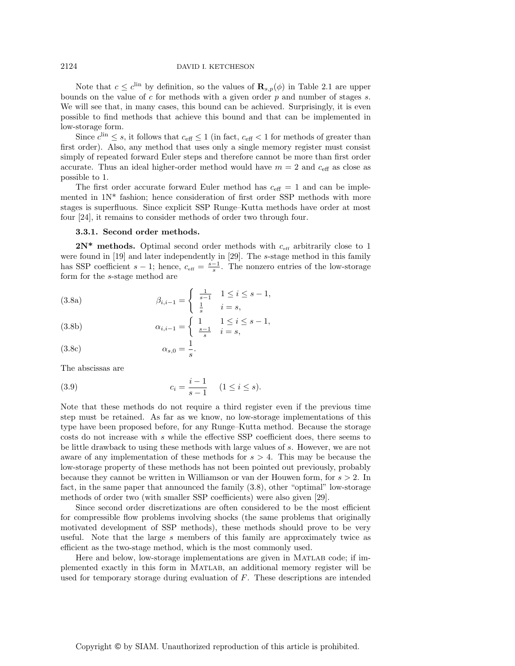Note that  $c \leq c^{\text{lin}}$  by definition, so the values of  $\mathbf{R}_{s,p}(\phi)$  in Table 2.1 are upper bounds on the value of  $c$  for methods with a given order  $p$  and number of stages  $s$ . We will see that, in many cases, this bound can be achieved. Surprisingly, it is even possible to find methods that achieve this bound and that can be implemented in low-storage form.

Since  $c^{\text{lin}} \leq s$ , it follows that  $c_{\text{eff}} \leq 1$  (in fact,  $c_{\text{eff}} < 1$  for methods of greater than first order). Also, any method that uses only a single memory register must consist simply of repeated forward Euler steps and therefore cannot be more than first order accurate. Thus an ideal higher-order method would have  $m = 2$  and  $c_{\text{eff}}$  as close as possible to 1.

The first order accurate forward Euler method has  $c_{\text{eff}} = 1$  and can be implemented in 1N\* fashion; hence consideration of first order SSP methods with more stages is superfluous. Since explicit SSP Runge–Kutta methods have order at most four [24], it remains to consider methods of order two through four.

#### **3.3.1. Second order methods.**

 $2N^*$  methods. Optimal second order methods with  $c_{\text{eff}}$  arbitrarily close to 1 were found in [19] and later independently in [29]. The s-stage method in this family has SSP coefficient  $s - 1$ ; hence,  $c_{\text{eff}} = \frac{s-1}{s}$ . The nonzero entries of the low-storage form for the s-stage method are

(3.8a) 
$$
\beta_{i,i-1} = \begin{cases} \frac{1}{s-1} & 1 \leq i \leq s-1, \\ \frac{1}{s} & i = s, \end{cases}
$$

(3.8b) 
$$
\alpha_{i,i-1} = \begin{cases} 1 & 1 \le i \le s-1, \\ \frac{s-1}{s} & i = s, \end{cases}
$$

$$
\alpha_{s,0} = \frac{1}{s}.
$$

The abscissas are

(3.9) 
$$
c_i = \frac{i-1}{s-1} \quad (1 \le i \le s).
$$

Note that these methods do not require a third register even if the previous time step must be retained. As far as we know, no low-storage implementations of this type have been proposed before, for any Runge–Kutta method. Because the storage costs do not increase with s while the effective SSP coefficient does, there seems to be little drawback to using these methods with large values of s. However, we are not aware of any implementation of these methods for  $s > 4$ . This may be because the low-storage property of these methods has not been pointed out previously, probably because they cannot be written in Williamson or van der Houwen form, for  $s > 2$ . In fact, in the same paper that announced the family (3.8), other "optimal" low-storage methods of order two (with smaller SSP coefficients) were also given [29].

Since second order discretizations are often considered to be the most efficient for compressible flow problems involving shocks (the same problems that originally motivated development of SSP methods), these methods should prove to be very useful. Note that the large s members of this family are approximately twice as efficient as the two-stage method, which is the most commonly used.

Here and below, low-storage implementations are given in Matlab code; if implemented exactly in this form in Matlab, an additional memory register will be used for temporary storage during evaluation of F. These descriptions are intended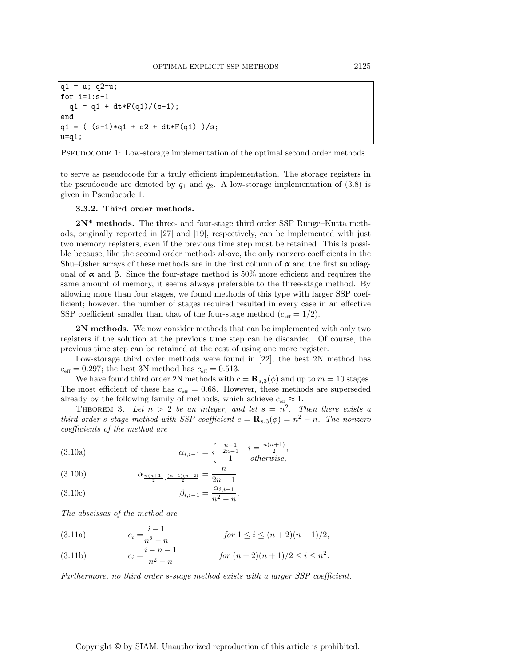```
q1 = u; q2=u;for i=1:s-1
 q1 = q1 + dt * F(q1) / (s-1);end
q1 = ( (s-1)*q1 + q2 + dt*F(q1) )/s;u=q1;
```
PSEUDOCODE 1: Low-storage implementation of the optimal second order methods.

to serve as pseudocode for a truly efficient implementation. The storage registers in the pseudocode are denoted by  $q_1$  and  $q_2$ . A low-storage implementation of (3.8) is given in Pseudocode 1.

# **3.3.2. Third order methods.**

**2N\* methods.** The three- and four-stage third order SSP Runge–Kutta methods, originally reported in [27] and [19], respectively, can be implemented with just two memory registers, even if the previous time step must be retained. This is possible because, like the second order methods above, the only nonzero coefficients in the Shu–Osher arrays of these methods are in the first column of  $\alpha$  and the first subdiagonal of  $\alpha$  and  $\beta$ . Since the four-stage method is 50% more efficient and requires the same amount of memory, it seems always preferable to the three-stage method. By allowing more than four stages, we found methods of this type with larger SSP coefficient; however, the number of stages required resulted in every case in an effective SSP coefficient smaller than that of the four-stage method  $(c_{\text{eff}} = 1/2)$ .

**2N methods.** We now consider methods that can be implemented with only two registers if the solution at the previous time step can be discarded. Of course, the previous time step can be retained at the cost of using one more register.

Low-storage third order methods were found in [22]; the best 2N method has  $c_{\text{eff}} = 0.297$ ; the best 3N method has  $c_{\text{eff}} = 0.513$ .

We have found third order 2N methods with  $c = \mathbf{R}_{s,3}(\phi)$  and up to  $m = 10$  stages. The most efficient of these has  $c_{\text{eff}} = 0.68$ . However, these methods are superseded already by the following family of methods, which achieve  $c_{\text{eff}} \approx 1$ .

THEOREM 3. Let  $n > 2$  be an integer, and let  $s = n^2$ . Then there exists a third order s-stage method with SSP coefficient  $c = \mathbf{R}_{s,3}(\phi) = n^2 - n$ . The nonzero coefficients of the method are

(3.10a) 
$$
\alpha_{i,i-1} = \begin{cases} \frac{n-1}{2n-1} & i = \frac{n(n+1)}{2}, \\ 1 & otherwise, \end{cases}
$$

α <sup>n</sup>(n+1) <sup>2</sup> , (n−1)(n−2) 2 <sup>=</sup> <sup>n</sup> <sup>2</sup><sup>n</sup> <sup>−</sup> <sup>1</sup> (3.10b) ,

(3.10c) 
$$
\beta_{i,i-1} = \frac{\alpha_{i,i-1}}{n^2 - n}.
$$

The abscissas of the method are

(3.11a) 
$$
c_i = \frac{i-1}{n^2 - n} \qquad \text{for } 1 \le i \le (n+2)(n-1)/2,
$$

$$
i - n - 1
$$

(3.11b) 
$$
c_i = \frac{i - n - 1}{n^2 - n} \qquad \text{for } (n+2)(n+1)/2 \le i \le n^2.
$$

Furthermore, no third order s-stage method exists with a larger SSP coefficient.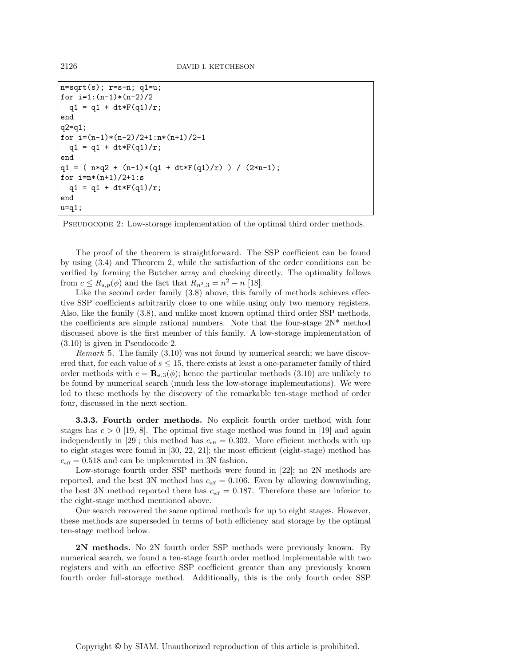```
n = sqrt(s); r = s - n; q1 = u;for i=1:(n-1)*(n-2)/2q1 = q1 + dt * F(q1)/r;
end
q2=q1;
for i=(n-1)*(n-2)/2+1:n*(n+1)/2-1q1 = q1 + dt * F(q1)/r;
end
q1 = ( n * q2 + (n-1) * (q1 + dt * F(q1)/r) ) / (2 * n-1);for i=n*(n+1)/2+1:sq1 = q1 + dt * F(q1)/r;
end
u=q1;
```
PSEUDOCODE 2: Low-storage implementation of the optimal third order methods.

The proof of the theorem is straightforward. The SSP coefficient can be found by using (3.4) and Theorem 2, while the satisfaction of the order conditions can be verified by forming the Butcher array and checking directly. The optimality follows from  $c \leq R_{s,p}(\phi)$  and the fact that  $R_{n^2,3} = n^2 - n$  [18].

Like the second order family  $(3.8)$  above, this family of methods achieves effective SSP coefficients arbitrarily close to one while using only two memory registers. Also, like the family (3.8), and unlike most known optimal third order SSP methods, the coefficients are simple rational numbers. Note that the four-stage  $2N^*$  method discussed above is the first member of this family. A low-storage implementation of (3.10) is given in Pseudocode 2.

*Remark* 5. The family  $(3.10)$  was not found by numerical search; we have discovered that, for each value of  $s \leq 15$ , there exists at least a one-parameter family of third order methods with  $c = \mathbf{R}_{s,3}(\phi)$ ; hence the particular methods (3.10) are unlikely to be found by numerical search (much less the low-storage implementations). We were led to these methods by the discovery of the remarkable ten-stage method of order four, discussed in the next section.

**3.3.3. Fourth order methods.** No explicit fourth order method with four stages has  $c > 0$  [19, 8]. The optimal five stage method was found in [19] and again independently in [29]; this method has  $c_{\text{eff}} = 0.302$ . More efficient methods with up to eight stages were found in [30, 22, 21]; the most efficient (eight-stage) method has  $c_{\text{eff}} = 0.518$  and can be implemented in 3N fashion.

Low-storage fourth order SSP methods were found in [22]; no 2N methods are reported, and the best 3N method has  $c_{\text{eff}} = 0.106$ . Even by allowing downwinding, the best 3N method reported there has  $c_{\text{eff}} = 0.187$ . Therefore these are inferior to the eight-stage method mentioned above.

Our search recovered the same optimal methods for up to eight stages. However, these methods are superseded in terms of both efficiency and storage by the optimal ten-stage method below.

**2N methods.** No 2N fourth order SSP methods were previously known. By numerical search, we found a ten-stage fourth order method implementable with two registers and with an effective SSP coefficient greater than any previously known fourth order full-storage method. Additionally, this is the only fourth order SSP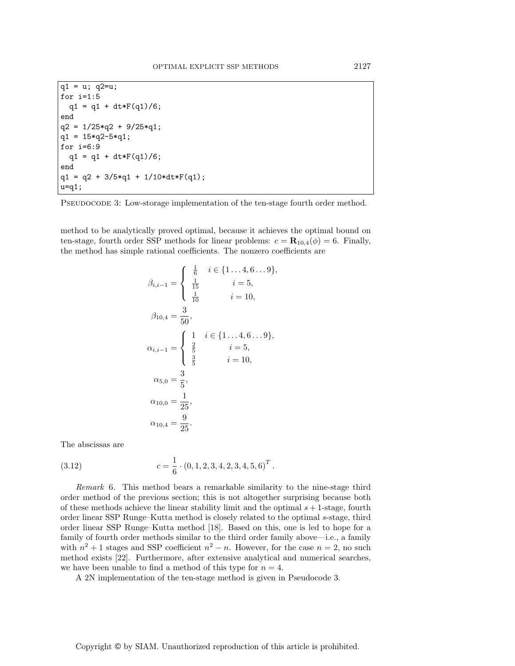```
q1 = u; q2=u;for i=1:5
  q1 = q1 + dt * F(q1)/6;end
q2 = 1/25 \cdot q2 + 9/25 \cdot q1;
q1 = 15 \cdot q2 - 5 \cdot q1;for i=6:9
  q1 = q1 + dt * F(q1)/6;end
q1 = q2 + 3/5*q1 + 1/10*dt*F(q1);u=q1;
```
PSEUDOCODE 3: Low-storage implementation of the ten-stage fourth order method.

method to be analytically proved optimal, because it achieves the optimal bound on ten-stage, fourth order SSP methods for linear problems:  $c = \mathbf{R}_{10,4}(\phi) = 6$ . Finally, the method has simple rational coefficients. The nonzero coefficients are

$$
\beta_{i,i-1} = \begin{cases}\n\frac{1}{6} & i \in \{1 \dots 4, 6 \dots 9\}, \\
\frac{1}{15} & i = 5, \\
\frac{1}{10} & i = 10,\n\end{cases}
$$
\n
$$
\beta_{10,4} = \frac{3}{50},
$$
\n
$$
\alpha_{i,i-1} = \begin{cases}\n1 & i \in \{1 \dots 4, 6 \dots 9\}, \\
\frac{2}{5} & i = 5, \\
\frac{3}{5} & i = 10, \\
\frac{3}{5} & i = 10,\n\end{cases}
$$
\n
$$
\alpha_{5,0} = \frac{3}{5},
$$
\n
$$
\alpha_{10,0} = \frac{1}{25},
$$
\n
$$
\alpha_{10,4} = \frac{9}{25}.
$$

The abscissas are

(3.12) 
$$
c = \frac{1}{6} \cdot (0, 1, 2, 3, 4, 2, 3, 4, 5, 6)^T.
$$

Remark 6. This method bears a remarkable similarity to the nine-stage third order method of the previous section; this is not altogether surprising because both of these methods achieve the linear stability limit and the optimal  $s + 1$ -stage, fourth order linear SSP Runge–Kutta method is closely related to the optimal s-stage, third order linear SSP Runge–Kutta method [18]. Based on this, one is led to hope for a family of fourth order methods similar to the third order family above—i.e., a family with  $n^2 + 1$  stages and SSP coefficient  $n^2 - n$ . However, for the case  $n = 2$ , no such method exists [22]. Furthermore, after extensive analytical and numerical searches, we have been unable to find a method of this type for  $n = 4$ .

A 2N implementation of the ten-stage method is given in Pseudocode 3.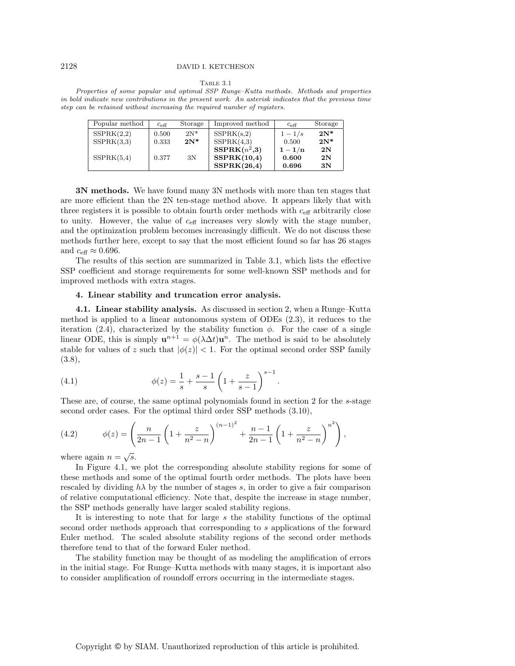#### Table 3.1

Properties of some popular and optimal SSP Runge–Kutta methods. Methods and properties in bold indicate new contributions in the present work. An asterisk indicates that the previous time step can be retained without increasing the required number of registers.

| Popular method | $c_{\text{eff}}$ | Storage | Improved method | $c_{\text{eff}}$ | Storage |
|----------------|------------------|---------|-----------------|------------------|---------|
| SSPRK(2,2)     | 0.500            | $2N^*$  | SSPRK(s,2)      | $1-1/s$          | $2N^*$  |
| SSPRK(3,3)     | 0.333            | $2N^*$  | SSPRK(4,3)      | 0.500            | $2N^*$  |
|                |                  |         | $SSPRK(n^2,3)$  | $1 - 1/n$        | 2N      |
| SSPRK(5,4)     | 0.377            | 3N      | SSPRK(10,4)     | 0.600            | 2N      |
|                |                  |         | SSPRK(26,4)     | 0.696            | 3N      |

**3N methods.** We have found many 3N methods with more than ten stages that are more efficient than the 2N ten-stage method above. It appears likely that with three registers it is possible to obtain fourth order methods with  $c_{\text{eff}}$  arbitrarily close to unity. However, the value of  $c_{\text{eff}}$  increases very slowly with the stage number, and the optimization problem becomes increasingly difficult. We do not discuss these methods further here, except to say that the most efficient found so far has 26 stages and  $c_{\text{eff}} \approx 0.696$ .

The results of this section are summarized in Table 3.1, which lists the effective SSP coefficient and storage requirements for some well-known SSP methods and for improved methods with extra stages.

# **4. Linear stability and truncation error analysis.**

**4.1. Linear stability analysis.** As discussed in section 2, when a Runge–Kutta method is applied to a linear autonomous system of ODEs (2.3), it reduces to the iteration (2.4), characterized by the stability function  $\phi$ . For the case of a single linear ODE, this is simply  $\mathbf{u}^{n+1} = \phi(\lambda \Delta t) \mathbf{u}^n$ . The method is said to be absolutely stable for values of z such that  $|\phi(z)| < 1$ . For the optimal second order SSP family (3.8),

(4.1) 
$$
\phi(z) = \frac{1}{s} + \frac{s-1}{s} \left( 1 + \frac{z}{s-1} \right)^{s-1}.
$$

These are, of course, the same optimal polynomials found in section 2 for the s-stage second order cases. For the optimal third order SSP methods (3.10),

(4.2) 
$$
\phi(z) = \left(\frac{n}{2n-1}\left(1+\frac{z}{n^2-n}\right)^{(n-1)^2} + \frac{n-1}{2n-1}\left(1+\frac{z}{n^2-n}\right)^{n^2}\right),
$$

where again  $n = \sqrt{s}$ .

In Figure 4.1, we plot the corresponding absolute stability regions for some of these methods and some of the optimal fourth order methods. The plots have been rescaled by dividing  $h\lambda$  by the number of stages s, in order to give a fair comparison of relative computational efficiency. Note that, despite the increase in stage number, the SSP methods generally have larger scaled stability regions.

It is interesting to note that for large s the stability functions of the optimal second order methods approach that corresponding to s applications of the forward Euler method. The scaled absolute stability regions of the second order methods therefore tend to that of the forward Euler method.

The stability function may be thought of as modeling the amplification of errors in the initial stage. For Runge–Kutta methods with many stages, it is important also to consider amplification of roundoff errors occurring in the intermediate stages.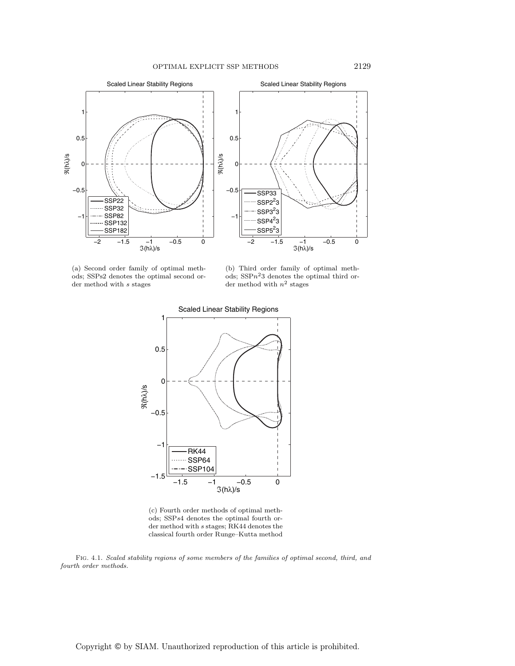

(a) Second order family of optimal methods; SSPs2 denotes the optimal second order method with  $\boldsymbol{s}$  stages

(b) Third order family of optimal methods;  $SSPn<sup>2</sup>3$  denotes the optimal third order method with  $n^2$  stages



(c) Fourth order methods of optimal methods; SSPs4 denotes the optimal fourth order method with s stages; RK44 denotes the classical fourth order Runge–Kutta method

Fig. 4.1. Scaled stability regions of some members of the families of optimal second, third, and fourth order methods.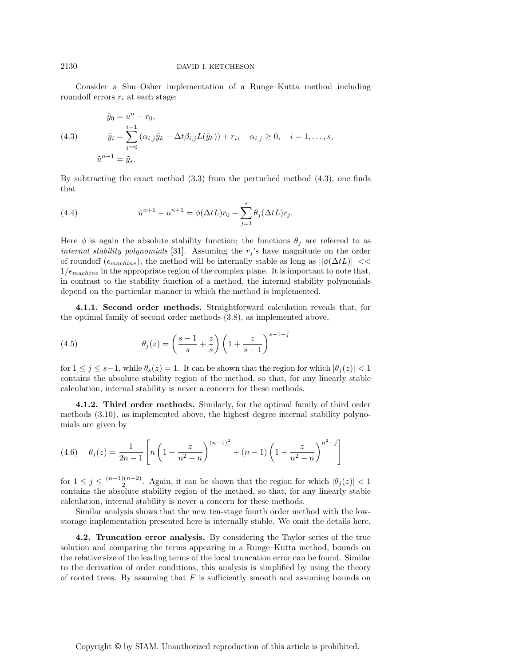Consider a Shu–Osher implementation of a Runge–Kutta method including roundoff errors  $r_i$  at each stage:

(4.3) 
$$
\tilde{y}_0 = u^n + r_0,
$$
  
\n
$$
\tilde{y}_i = \sum_{j=0}^{i-1} (\alpha_{i,j} \tilde{y}_k + \Delta t \beta_{i,j} L(\tilde{y}_k)) + r_i, \quad \alpha_{i,j} \ge 0, \quad i = 1, ..., s,
$$
  
\n
$$
\tilde{u}^{n+1} = \tilde{y}_s.
$$

By subtracting the exact method (3.3) from the perturbed method (4.3), one finds that

(4.4) 
$$
\tilde{u}^{n+1} - u^{n+1} = \phi(\Delta t L) r_0 + \sum_{j=1}^s \theta_j(\Delta t L) r_j.
$$

Here  $\phi$  is again the absolute stability function; the functions  $\theta_i$  are referred to as internal stability polynomials [31]. Assuming the  $r_j$ 's have magnitude on the order of roundoff ( $\epsilon_{machine}$ ), the method will be internally stable as long as  $||\phi(\Delta tL)|| <<$  $1/\epsilon_{machine}$  in the appropriate region of the complex plane. It is important to note that, in contrast to the stability function of a method, the internal stability polynomials depend on the particular manner in which the method is implemented.

**4.1.1. Second order methods.** Straightforward calculation reveals that, for the optimal family of second order methods (3.8), as implemented above,

(4.5) 
$$
\theta_j(z) = \left(\frac{s-1}{s} + \frac{z}{s}\right) \left(1 + \frac{z}{s-1}\right)^{s-1-j}
$$

for  $1 \leq j \leq s-1$ , while  $\theta_s(z) = 1$ . It can be shown that the region for which  $|\theta_i(z)| < 1$ contains the absolute stability region of the method, so that, for any linearly stable calculation, internal stability is never a concern for these methods.

**4.1.2. Third order methods.** Similarly, for the optimal family of third order methods (3.10), as implemented above, the highest degree internal stability polynomials are given by

(4.6) 
$$
\theta_j(z) = \frac{1}{2n-1} \left[ n \left( 1 + \frac{z}{n^2 - n} \right)^{(n-1)^2} + (n-1) \left( 1 + \frac{z}{n^2 - n} \right)^{n^2 - j} \right]
$$

for  $1 \leq j \leq \frac{(n-1)(n-2)}{2}$ . Again, it can be shown that the region for which  $|\theta_j(z)| < 1$ contains the absolute stability region of the method, so that, for any linearly stable calculation, internal stability is never a concern for these methods.

Similar analysis shows that the new ten-stage fourth order method with the lowstorage implementation presented here is internally stable. We omit the details here.

**4.2. Truncation error analysis.** By considering the Taylor series of the true solution and comparing the terms appearing in a Runge–Kutta method, bounds on the relative size of the leading terms of the local truncation error can be found. Similar to the derivation of order conditions, this analysis is simplified by using the theory of rooted trees. By assuming that  $F$  is sufficiently smooth and assuming bounds on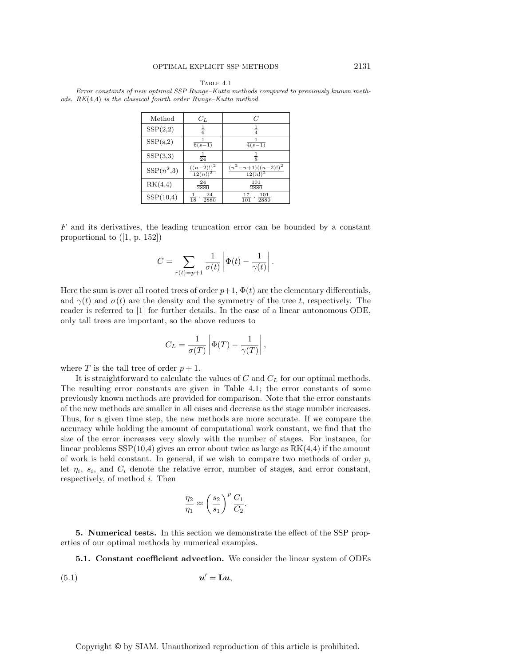| Method       | $C_{L}$                       | C                                      |
|--------------|-------------------------------|----------------------------------------|
| SSP(2,2)     | $\frac{1}{6}$                 |                                        |
| SSP(s,2)     | $\overline{6(s-1)}$           | $\overline{4(s-1)}$                    |
| SSP(3,3)     | $\frac{1}{24}$                | $\frac{1}{8}$                          |
| $SSP(n^2,3)$ | $\frac{((n-2)!)^2}{12(n!)^2}$ | $\frac{(n^2-n+1)((n-2)!)^2}{12(n!)^2}$ |
| RK(4,4)      | 24<br>2880                    | 101<br>2880                            |
| SSP(10,4)    | 24<br>$\frac{1}{18}$<br>2880  | 101<br>17<br>101<br>2880               |

Table 4.1 Error constants of new optimal SSP Runge–Kutta methods compared to previously known methods. RK(4,4) is the classical fourth order Runge–Kutta method.

 $F$  and its derivatives, the leading truncation error can be bounded by a constant proportional to ([1, p. 152])

$$
C = \sum_{r(t)=p+1} \frac{1}{\sigma(t)} \left| \Phi(t) - \frac{1}{\gamma(t)} \right|.
$$

Here the sum is over all rooted trees of order  $p+1$ ,  $\Phi(t)$  are the elementary differentials, and  $\gamma(t)$  and  $\sigma(t)$  are the density and the symmetry of the tree t, respectively. The reader is referred to [1] for further details. In the case of a linear autonomous ODE, only tall trees are important, so the above reduces to

$$
C_L = \frac{1}{\sigma(T)} \left| \Phi(T) - \frac{1}{\gamma(T)} \right|,
$$

where T is the tall tree of order  $p + 1$ .

It is straightforward to calculate the values of  $C$  and  $C_L$  for our optimal methods. The resulting error constants are given in Table 4.1; the error constants of some previously known methods are provided for comparison. Note that the error constants of the new methods are smaller in all cases and decrease as the stage number increases. Thus, for a given time step, the new methods are more accurate. If we compare the accuracy while holding the amount of computational work constant, we find that the size of the error increases very slowly with the number of stages. For instance, for linear problems  $SSP(10,4)$  gives an error about twice as large as  $RK(4,4)$  if the amount of work is held constant. In general, if we wish to compare two methods of order  $p$ , let  $\eta_i$ ,  $s_i$ , and  $C_i$  denote the relative error, number of stages, and error constant, respectively, of method i. Then

$$
\frac{\eta_2}{\eta_1} \approx \left(\frac{s_2}{s_1}\right)^p \frac{C_1}{C_2}.
$$

**5. Numerical tests.** In this section we demonstrate the effect of the SSP properties of our optimal methods by numerical examples.

**5.1. Constant coefficient advection.** We consider the linear system of ODEs

(5.1) *u* = **L***u*,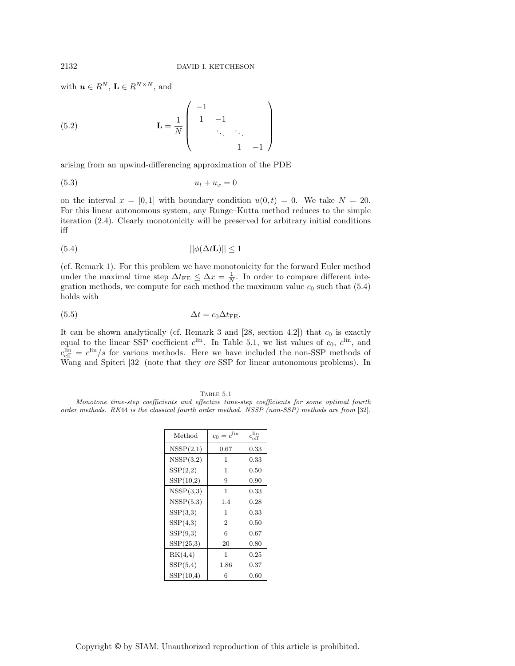with  $u \in R^N$ ,  $L \in R^{N \times N}$ , and

(5.2) 
$$
\mathbf{L} = \frac{1}{N} \begin{pmatrix} -1 & & & \\ 1 & -1 & & \\ & \ddots & \ddots & \\ & & 1 & -1 \end{pmatrix}
$$

arising from an upwind-differencing approximation of the PDE

$$
(5.3) \t\t u_t + u_x = 0
$$

on the interval  $x = [0, 1]$  with boundary condition  $u(0, t) = 0$ . We take  $N = 20$ . For this linear autonomous system, any Runge–Kutta method reduces to the simple iteration (2.4). Clearly monotonicity will be preserved for arbitrary initial conditions iff

$$
||\phi(\Delta t \mathbf{L})|| \le 1
$$

(cf. Remark 1). For this problem we have monotonicity for the forward Euler method under the maximal time step  $\Delta t_{\text{FE}} \leq \Delta x = \frac{1}{N}$ . In order to compare different integration methods, we compute for each method the maximum value  $c_0$  such that (5.4) holds with

$$
\Delta t = c_0 \Delta t_{\text{FE}}.
$$

It can be shown analytically (cf. Remark 3 and  $[28, \text{ section } 4.2]$ ) that  $c_0$  is exactly equal to the linear SSP coefficient  $c^{\text{lin}}$ . In Table 5.1, we list values of  $c_0$ ,  $c^{\text{lin}}$ , and  $c_{\text{eff}}^{\text{lin}} = c^{\text{lin}}/s$  for various methods. Here we have included the non-SSP methods of Wang and Spiteri [32] (note that they are SSP for linear autonomous problems). In

Table 5.1 Monotone time-step coefficients and effective time-step coefficients for some optimal fourth order methods. RK44 is the classical fourth order method. NSSP (non-SSP) methods are from [32].

| Method    | $c_0 = c^{\text{lin}}$ | $c_{\text{eff}}^{\text{lin}}$ |
|-----------|------------------------|-------------------------------|
| NSSP(2,1) | $_{0.67}$              | 0.33                          |
| NSSP(3,2) | 1                      | 0.33                          |
| SSP(2,2)  | 1                      | 0.50                          |
| SSP(10,2) | 9                      | 0.90                          |
| NSSP(3,3) | 1                      | 0.33                          |
| NSSP(5,3) | 1.4                    | 0.28                          |
| SSP(3,3)  | 1                      | 0.33                          |
| SSP(4,3)  | $\overline{2}$         | 0.50                          |
| SSP(9,3)  | 6                      | 0.67                          |
| SSP(25,3) | 20                     | 0.80                          |
| RK(4,4)   | 1                      | 0.25                          |
| SSP(5,4)  | 1.86                   | 0.37                          |
| SSP(10,4) | 6                      | 0.60                          |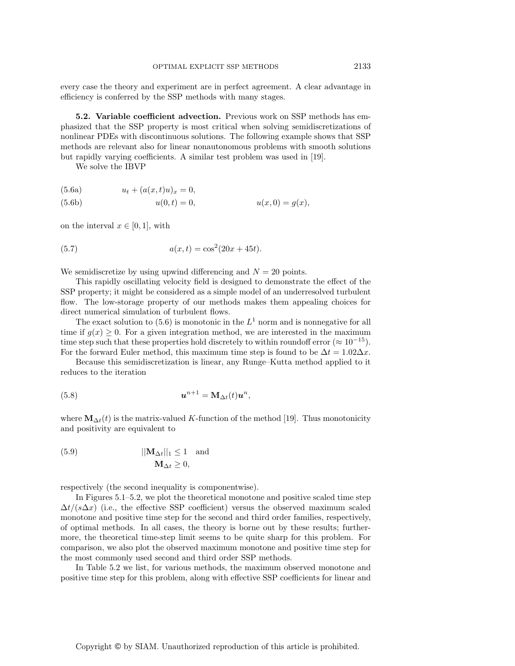every case the theory and experiment are in perfect agreement. A clear advantage in efficiency is conferred by the SSP methods with many stages.

**5.2. Variable coefficient advection.** Previous work on SSP methods has emphasized that the SSP property is most critical when solving semidiscretizations of nonlinear PDEs with discontinuous solutions. The following example shows that SSP methods are relevant also for linear nonautonomous problems with smooth solutions but rapidly varying coefficients. A similar test problem was used in [19].

We solve the IBVP

(5.6a) 
$$
u_t + (a(x, t)u)_x = 0,
$$
  
(5.6b) 
$$
u(0, t) = 0,
$$
 
$$
u(x, 0) = g(x),
$$

on the interval  $x \in [0, 1]$ , with

(5.7) 
$$
a(x,t) = \cos^2(20x + 45t).
$$

We semidiscretize by using upwind differencing and  $N = 20$  points.

This rapidly oscillating velocity field is designed to demonstrate the effect of the SSP property; it might be considered as a simple model of an underresolved turbulent flow. The low-storage property of our methods makes them appealing choices for direct numerical simulation of turbulent flows.

The exact solution to (5.6) is monotonic in the  $L<sup>1</sup>$  norm and is nonnegative for all time if  $g(x) \geq 0$ . For a given integration method, we are interested in the maximum time step such that these properties hold discretely to within roundoff error ( $\approx 10^{-15}$ ). For the forward Euler method, this maximum time step is found to be  $\Delta t = 1.02 \Delta x$ .

Because this semidiscretization is linear, any Runge–Kutta method applied to it reduces to the iteration

(5.8) 
$$
\mathbf{u}^{n+1} = \mathbf{M}_{\Delta t}(t)\mathbf{u}^n,
$$

where  $\mathbf{M}_{\Delta t}(t)$  is the matrix-valued K-function of the method [19]. Thus monotonicity and positivity are equivalent to

(5.9) 
$$
||\mathbf{M}_{\Delta t}||_1 \le 1 \text{ and}
$$

$$
\mathbf{M}_{\Delta t} \ge 0,
$$

respectively (the second inequality is componentwise).

In Figures 5.1–5.2, we plot the theoretical monotone and positive scaled time step  $\Delta t/(s\Delta x)$  (i.e., the effective SSP coefficient) versus the observed maximum scaled monotone and positive time step for the second and third order families, respectively, of optimal methods. In all cases, the theory is borne out by these results; furthermore, the theoretical time-step limit seems to be quite sharp for this problem. For comparison, we also plot the observed maximum monotone and positive time step for the most commonly used second and third order SSP methods.

In Table 5.2 we list, for various methods, the maximum observed monotone and positive time step for this problem, along with effective SSP coefficients for linear and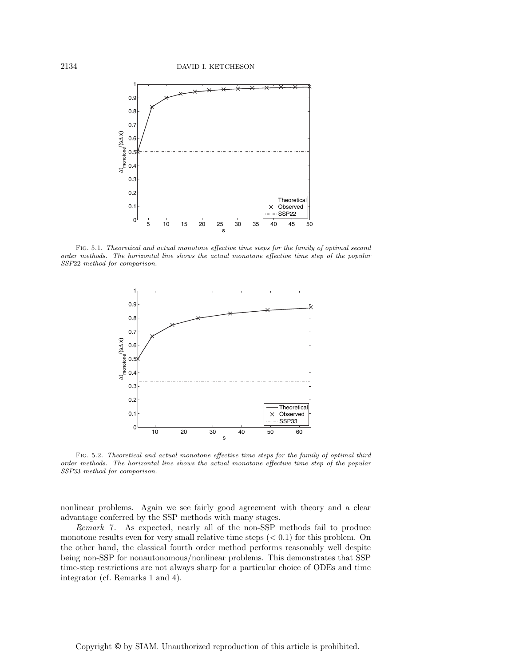

Fig. 5.1. Theoretical and actual monotone effective time steps for the family of optimal second order methods. The horizontal line shows the actual monotone effective time step of the popular SSP22 method for comparison.



Fig. 5.2. Theoretical and actual monotone effective time steps for the family of optimal third order methods. The horizontal line shows the actual monotone effective time step of the popular SSP33 method for comparison.

nonlinear problems. Again we see fairly good agreement with theory and a clear advantage conferred by the SSP methods with many stages.

Remark 7. As expected, nearly all of the non-SSP methods fail to produce monotone results even for very small relative time steps  $( $0.1$ ) for this problem. On$ the other hand, the classical fourth order method performs reasonably well despite being non-SSP for nonautonomous/nonlinear problems. This demonstrates that SSP time-step restrictions are not always sharp for a particular choice of ODEs and time integrator (cf. Remarks 1 and 4).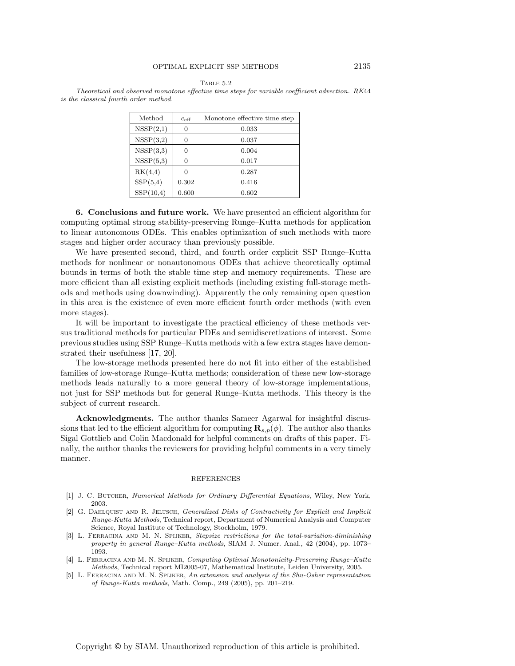Table 5.2

Theoretical and observed monotone effective time steps for variable coefficient advection. RK44 is the classical fourth order method.

| Method    | $c_{\text{eff}}$ | Monotone effective time step |
|-----------|------------------|------------------------------|
| NSSP(2,1) | 0                | 0.033                        |
| NSSP(3,2) | 0                | 0.037                        |
| NSSP(3,3) | 0                | 0.004                        |
| NSSP(5,3) | 0                | 0.017                        |
| RK(4,4)   | 0                | 0.287                        |
| SSP(5,4)  | 0.302            | 0.416                        |
| SSP(10,4) | 0.600            | 0.602                        |

**6. Conclusions and future work.** We have presented an efficient algorithm for computing optimal strong stability-preserving Runge–Kutta methods for application to linear autonomous ODEs. This enables optimization of such methods with more stages and higher order accuracy than previously possible.

We have presented second, third, and fourth order explicit SSP Runge–Kutta methods for nonlinear or nonautonomous ODEs that achieve theoretically optimal bounds in terms of both the stable time step and memory requirements. These are more efficient than all existing explicit methods (including existing full-storage methods and methods using downwinding). Apparently the only remaining open question in this area is the existence of even more efficient fourth order methods (with even more stages).

It will be important to investigate the practical efficiency of these methods versus traditional methods for particular PDEs and semidiscretizations of interest. Some previous studies using SSP Runge–Kutta methods with a few extra stages have demonstrated their usefulness [17, 20].

The low-storage methods presented here do not fit into either of the established families of low-storage Runge–Kutta methods; consideration of these new low-storage methods leads naturally to a more general theory of low-storage implementations, not just for SSP methods but for general Runge–Kutta methods. This theory is the subject of current research.

**Acknowledgments.** The author thanks Sameer Agarwal for insightful discussions that led to the efficient algorithm for computing  $\mathbf{R}_{s,p}(\phi)$ . The author also thanks Sigal Gottlieb and Colin Macdonald for helpful comments on drafts of this paper. Finally, the author thanks the reviewers for providing helpful comments in a very timely manner.

### REFERENCES

- [1] J. C. Butcher, Numerical Methods for Ordinary Differential Equations, Wiley, New York, 2003.
- [2] G. DAHLQUIST AND R. JELTSCH, Generalized Disks of Contractivity for Explicit and Implicit Runge-Kutta Methods, Technical report, Department of Numerical Analysis and Computer Science, Royal Institute of Technology, Stockholm, 1979.
- [3] L. FERRACINA AND M. N. SPIJKER, Stepsize restrictions for the total-variation-diminishing property in general Runge–Kutta methods, SIAM J. Numer. Anal., 42 (2004), pp. 1073– 1093.
- [4] L. Ferracina and M. N. Spijker, Computing Optimal Monotonicity-Preserving Runge–Kutta Methods, Technical report MI2005-07, Mathematical Institute, Leiden University, 2005.
- [5] L. Ferracina and M. N. Spijker, An extension and analysis of the Shu-Osher representation of Runge-Kutta methods, Math. Comp., 249 (2005), pp. 201–219.